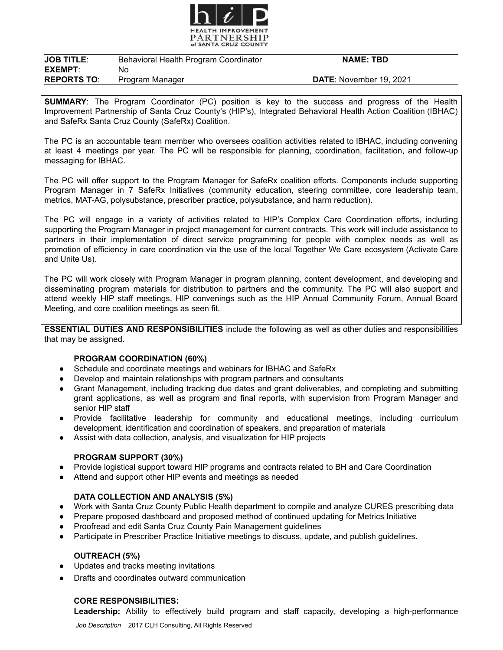

| <b>JOB TITLE:</b>  | Behavioral Health Program Coordinator | <b>NAME: TBD</b>               |
|--------------------|---------------------------------------|--------------------------------|
| <b>EXEMPT:</b>     | No.                                   |                                |
| <b>REPORTS TO:</b> | Program Manager                       | <b>DATE:</b> November 19, 2021 |

**SUMMARY**: The Program Coordinator (PC) position is key to the success and progress of the Health Improvement Partnership of Santa Cruz County's (HIP's), Integrated Behavioral Health Action Coalition (IBHAC) and SafeRx Santa Cruz County (SafeRx) Coalition.

The PC is an accountable team member who oversees coalition activities related to IBHAC, including convening at least 4 meetings per year. The PC will be responsible for planning, coordination, facilitation, and follow-up messaging for IBHAC.

The PC will offer support to the Program Manager for SafeRx coalition efforts. Components include supporting Program Manager in 7 SafeRx Initiatives (community education, steering committee, core leadership team, metrics, MAT-AG, polysubstance, prescriber practice, polysubstance, and harm reduction).

The PC will engage in a variety of activities related to HIP's Complex Care Coordination efforts, including supporting the Program Manager in project management for current contracts. This work will include assistance to partners in their implementation of direct service programming for people with complex needs as well as promotion of efficiency in care coordination via the use of the local Together We Care ecosystem (Activate Care and Unite Us).

The PC will work closely with Program Manager in program planning, content development, and developing and disseminating program materials for distribution to partners and the community. The PC will also support and attend weekly HIP staff meetings, HIP convenings such as the HIP Annual Community Forum, Annual Board Meeting, and core coalition meetings as seen fit.

**ESSENTIAL DUTIES AND RESPONSIBILITIES** include the following as well as other duties and responsibilities that may be assigned.

### **PROGRAM COORDINATION (60%)**

- Schedule and coordinate meetings and webinars for IBHAC and SafeRx
- Develop and maintain relationships with program partners and consultants
- Grant Management, including tracking due dates and grant deliverables, and completing and submitting grant applications, as well as program and final reports, with supervision from Program Manager and senior HIP staff
- Provide facilitative leadership for community and educational meetings, including curriculum development, identification and coordination of speakers, and preparation of materials
- Assist with data collection, analysis, and visualization for HIP projects

# **PROGRAM SUPPORT (30%)**

- Provide logistical support toward HIP programs and contracts related to BH and Care Coordination
- Attend and support other HIP events and meetings as needed

# **DATA COLLECTION AND ANALYSIS (5%)**

- Work with Santa Cruz County Public Health department to compile and analyze CURES prescribing data
- Prepare proposed dashboard and proposed method of continued updating for Metrics Initiative
- Proofread and edit Santa Cruz County Pain Management guidelines
- Participate in Prescriber Practice Initiative meetings to discuss, update, and publish guidelines.

# **OUTREACH (5%)**

- Updates and tracks meeting invitations
- Drafts and coordinates outward communication

# **CORE RESPONSIBILITIES:**

**Leadership:** Ability to effectively build program and staff capacity, developing a high-performance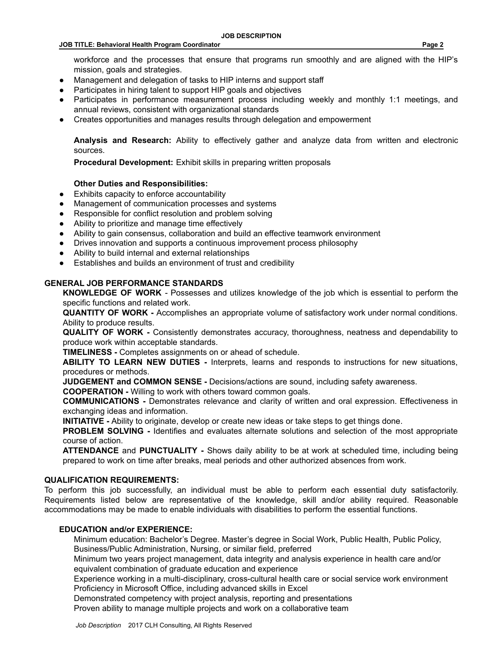workforce and the processes that ensure that programs run smoothly and are aligned with the HIP's mission, goals and strategies.

- Management and delegation of tasks to HIP interns and support staff
- Participates in hiring talent to support HIP goals and objectives
- Participates in performance measurement process including weekly and monthly 1:1 meetings, and annual reviews, consistent with organizational standards
- Creates opportunities and manages results through delegation and empowerment

**Analysis and Research:** Ability to effectively gather and analyze data from written and electronic sources.

**Procedural Development:** Exhibit skills in preparing written proposals

#### **Other Duties and Responsibilities:**

- Exhibits capacity to enforce accountability
- Management of communication processes and systems
- Responsible for conflict resolution and problem solving
- Ability to prioritize and manage time effectively
- Ability to gain consensus, collaboration and build an effective teamwork environment
- Drives innovation and supports a continuous improvement process philosophy
- Ability to build internal and external relationships
- Establishes and builds an environment of trust and credibility

#### **GENERAL JOB PERFORMANCE STANDARDS**

**KNOWLEDGE OF WORK** - Possesses and utilizes knowledge of the job which is essential to perform the specific functions and related work.

**QUANTITY OF WORK -** Accomplishes an appropriate volume of satisfactory work under normal conditions. Ability to produce results.

**QUALITY OF WORK -** Consistently demonstrates accuracy, thoroughness, neatness and dependability to produce work within acceptable standards.

**TIMELINESS -** Completes assignments on or ahead of schedule.

**ABILITY TO LEARN NEW DUTIES -** Interprets, learns and responds to instructions for new situations, procedures or methods.

**JUDGEMENT and COMMON SENSE -** Decisions/actions are sound, including safety awareness.

**COOPERATION -** Willing to work with others toward common goals.

**COMMUNICATIONS -** Demonstrates relevance and clarity of written and oral expression. Effectiveness in exchanging ideas and information.

**INITIATIVE -** Ability to originate, develop or create new ideas or take steps to get things done.

**PROBLEM SOLVING -** Identifies and evaluates alternate solutions and selection of the most appropriate course of action.

**ATTENDANCE** and **PUNCTUALITY -** Shows daily ability to be at work at scheduled time, including being prepared to work on time after breaks, meal periods and other authorized absences from work.

#### **QUALIFICATION REQUIREMENTS:**

To perform this job successfully, an individual must be able to perform each essential duty satisfactorily. Requirements listed below are representative of the knowledge, skill and/or ability required. Reasonable accommodations may be made to enable individuals with disabilities to perform the essential functions.

### **EDUCATION and/or EXPERIENCE:**

Minimum education: Bachelor's Degree. Master's degree in Social Work, Public Health, Public Policy, Business/Public Administration, Nursing, or similar field, preferred

Minimum two years project management, data integrity and analysis experience in health care and/or equivalent combination of graduate education and experience

Experience working in a multi-disciplinary, cross-cultural health care or social service work environment Proficiency in Microsoft Office, including advanced skills in Excel

Demonstrated competency with project analysis, reporting and presentations

Proven ability to manage multiple projects and work on a collaborative team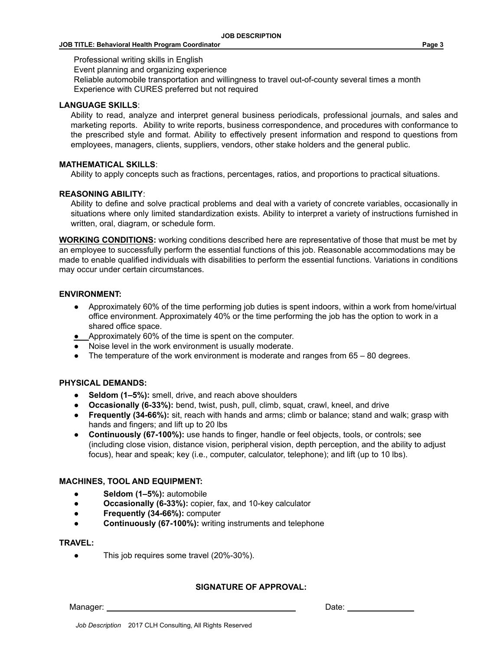### Professional writing skills in English

Event planning and organizing experience

Reliable automobile transportation and willingness to travel out-of-county several times a month Experience with CURES preferred but not required

## **LANGUAGE SKILLS**:

Ability to read, analyze and interpret general business periodicals, professional journals, and sales and marketing reports. Ability to write reports, business correspondence, and procedures with conformance to the prescribed style and format. Ability to effectively present information and respond to questions from employees, managers, clients, suppliers, vendors, other stake holders and the general public.

## **MATHEMATICAL SKILLS**:

Ability to apply concepts such as fractions, percentages, ratios, and proportions to practical situations.

## **REASONING ABILITY**:

Ability to define and solve practical problems and deal with a variety of concrete variables, occasionally in situations where only limited standardization exists. Ability to interpret a variety of instructions furnished in written, oral, diagram, or schedule form.

**WORKING CONDITIONS:** working conditions described here are representative of those that must be met by an employee to successfully perform the essential functions of this job. Reasonable accommodations may be made to enable qualified individuals with disabilities to perform the essential functions. Variations in conditions may occur under certain circumstances.

## **ENVIRONMENT:**

- Approximately 60% of the time performing job duties is spent indoors, within a work from home/virtual office environment. Approximately 40% or the time performing the job has the option to work in a shared office space.
- Approximately 60% of the time is spent on the computer.
- Noise level in the work environment is usually moderate.
- $\bullet$  The temperature of the work environment is moderate and ranges from 65 80 degrees.

# **PHYSICAL DEMANDS:**

- **Seldom (1–5%):** smell, drive, and reach above shoulders
- **Occasionally (6-33%):** bend, twist, push, pull, climb, squat, crawl, kneel, and drive
- **Frequently (34-66%):** sit, reach with hands and arms; climb or balance; stand and walk; grasp with hands and fingers; and lift up to 20 lbs
- **Continuously (67-100%):** use hands to finger, handle or feel objects, tools, or controls; see (including close vision, distance vision, peripheral vision, depth perception, and the ability to adjust focus), hear and speak; key (i.e., computer, calculator, telephone); and lift (up to 10 lbs).

### **MACHINES, TOOL AND EQUIPMENT:**

- **Seldom (1–5%):** automobile
- **Occasionally (6-33%):** copier, fax, and 10-key calculator
- **Frequently (34-66%):** computer
- **Continuously (67-100%):** writing instruments and telephone

# **TRAVEL:**

● This job requires some travel (20%-30%).

# **SIGNATURE OF APPROVAL:**

Manager: Date: